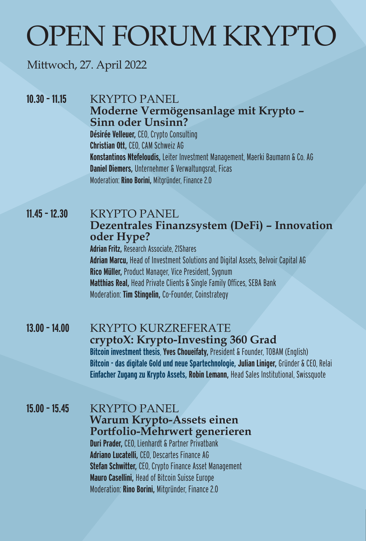# OPEN FORUM KRYPTO

## Mittwoch, 27. April 2022

## **10.30 - 11.15 ••• KRYPTO PANEL Moderne Vermögensanlage mit Krypto – Sinn oder Unsinn? Désirée Velleuer,** CEO, Crypto Consulting

**Christian Ott,** CEO, CAM Schweiz AG **Konstantinos Ntefeloudis,** Leiter Investment Management, Maerki Baumann & Co. AG **Daniel Diemers,** Unternehmer & Verwaltungsrat, Ficas Moderation: **Rino Borini,** Mitgründer, Finance 2.0

## **11.45 - 12.30 KRYPTO PANEL Dezentrales Finanzsystem (DeFi) – Innovation oder Hype?**

**Adrian Fritz,** Research Associate, 21Shares **Adrian Marcu,** Head of Investment Solutions and Digital Assets, Belvoir Capital AG **Rico Müller,** Product Manager, Vice President, Sygnum **Matthias Real,** Head Private Clients & Single Family Offices, SEBA Bank Moderation: **Tim Stingelin,** Co-Founder, Coinstrategy

# **13.00 – 14.00** KRYPTO KURZREFERATE **cryptoX: Krypto-Investing 360 Grad Bitcoin investment thesis**, **Yves Choueifaty,** President & Founder, TOBAM (English)

**Bitcoin - das digitale Gold und neue Spartechnologie, Julian Liniger,** Gründer & CEO, Relai **Einfacher Zugang zu Krypto Assets, Robin Lemann,** Head Sales Institutional, Swissquote

#### **15.00 – 15.45** KRYPTO PANEL **Warum Krypto-Assets einen Portfolio-Mehrwert generieren Duri Prader,** CEO, Lienhardt & Partner Privatbank **Adriano Lucatelli,** CEO, Descartes Finance AG **Stefan Schwitter,** CEO, Crypto Finance Asset Management **Mauro Casellini,** Head of Bitcoin Suisse Europe Moderation: **Rino Borini,** Mitgründer, Finance 2.0